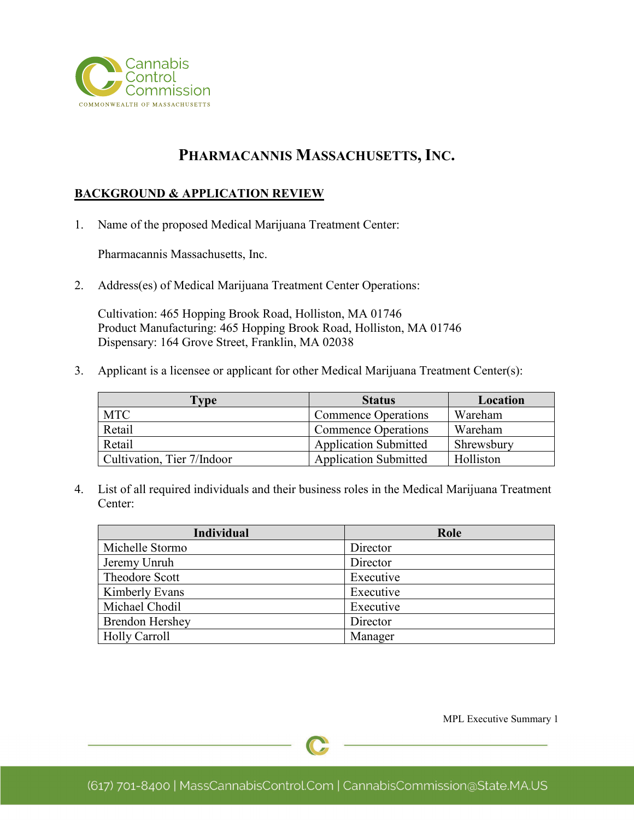

# **PHARMACANNIS MASSACHUSETTS, INC.**

#### **BACKGROUND & APPLICATION REVIEW**

1. Name of the proposed Medical Marijuana Treatment Center:

Pharmacannis Massachusetts, Inc.

2. Address(es) of Medical Marijuana Treatment Center Operations:

Cultivation: 465 Hopping Brook Road, Holliston, MA 01746 Product Manufacturing: 465 Hopping Brook Road, Holliston, MA 01746 Dispensary: 164 Grove Street, Franklin, MA 02038

3. Applicant is a licensee or applicant for other Medical Marijuana Treatment Center(s):

| Type                       | <b>Status</b>                | Location   |
|----------------------------|------------------------------|------------|
| <b>MTC</b>                 | <b>Commence Operations</b>   | Wareham    |
| Retail                     | <b>Commence Operations</b>   | Wareham    |
| Retail                     | <b>Application Submitted</b> | Shrewsbury |
| Cultivation, Tier 7/Indoor | <b>Application Submitted</b> | Holliston  |

4. List of all required individuals and their business roles in the Medical Marijuana Treatment Center:

| <b>Individual</b>      | Role      |
|------------------------|-----------|
| Michelle Stormo        | Director  |
| Jeremy Unruh           | Director  |
| Theodore Scott         | Executive |
| Kimberly Evans         | Executive |
| Michael Chodil         | Executive |
| <b>Brendon Hershey</b> | Director  |
| <b>Holly Carroll</b>   | Manager   |

MPL Executive Summary 1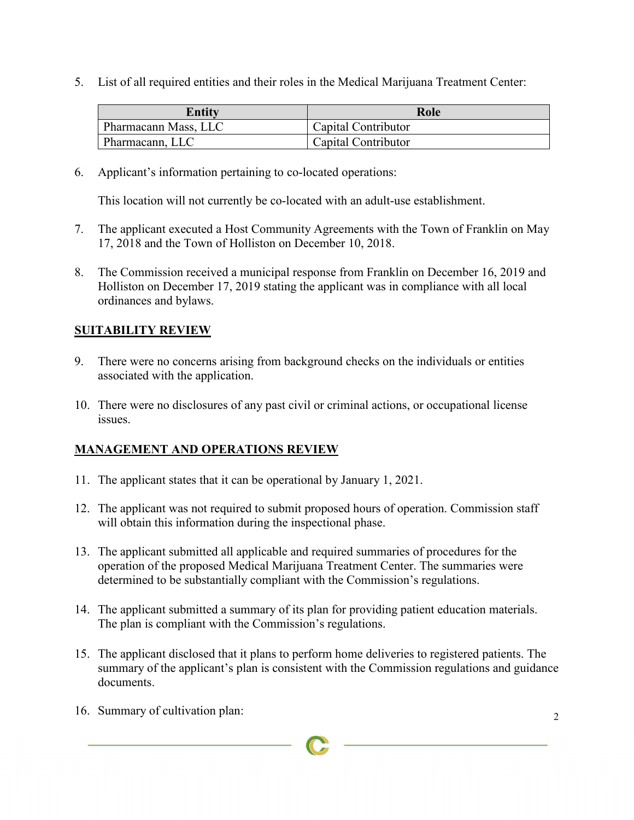5. List of all required entities and their roles in the Medical Marijuana Treatment Center:

| <b>Entity</b>        | Role                |
|----------------------|---------------------|
| Pharmacann Mass, LLC | Capital Contributor |
| Bharmacann, LLC      | Capital Contributor |

6. Applicant's information pertaining to co-located operations:

This location will not currently be co-located with an adult-use establishment.

- 7. The applicant executed a Host Community Agreements with the Town of Franklin on May 17, 2018 and the Town of Holliston on December 10, 2018.
- 8. The Commission received a municipal response from Franklin on December 16, 2019 and Holliston on December 17, 2019 stating the applicant was in compliance with all local ordinances and bylaws.

#### **SUITABILITY REVIEW**

- 9. There were no concerns arising from background checks on the individuals or entities associated with the application.
- 10. There were no disclosures of any past civil or criminal actions, or occupational license issues.

### **MANAGEMENT AND OPERATIONS REVIEW**

- 11. The applicant states that it can be operational by January 1, 2021.
- 12. The applicant was not required to submit proposed hours of operation. Commission staff will obtain this information during the inspectional phase.
- 13. The applicant submitted all applicable and required summaries of procedures for the operation of the proposed Medical Marijuana Treatment Center. The summaries were determined to be substantially compliant with the Commission's regulations.
- 14. The applicant submitted a summary of its plan for providing patient education materials. The plan is compliant with the Commission's regulations.
- 15. The applicant disclosed that it plans to perform home deliveries to registered patients. The summary of the applicant's plan is consistent with the Commission regulations and guidance documents.
- 16. Summary of cultivation plan: